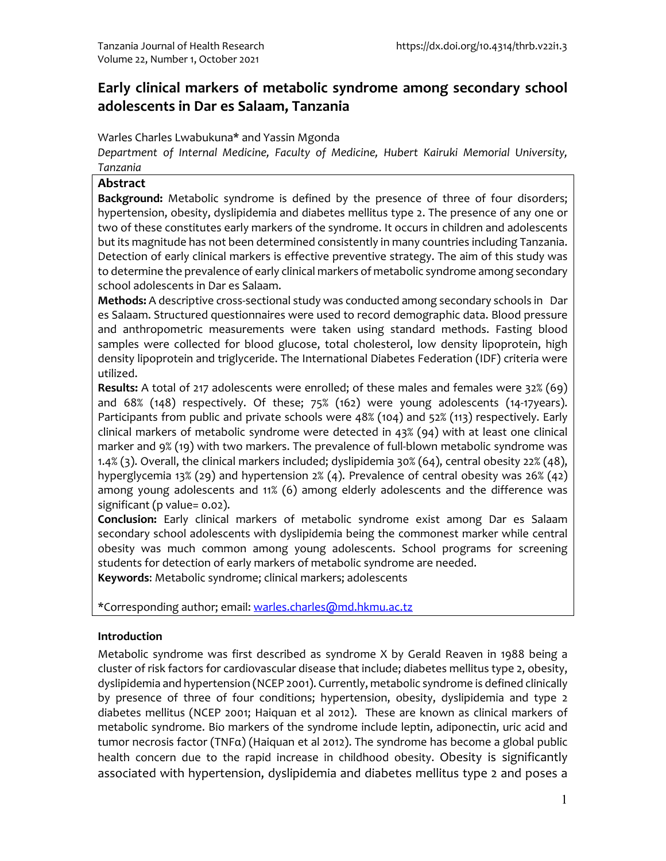# **Early clinical markers of metabolic syndrome among secondary school adolescents in Dar es Salaam, Tanzania**

Warles Charles Lwabukuna\* and Yassin Mgonda

*Department of Internal Medicine, Faculty of Medicine, Hubert Kairuki Memorial University, Tanzania*

## **Abstract**

**Background:** Metabolic syndrome is defined by the presence of three of four disorders; hypertension, obesity, dyslipidemia and diabetes mellitus type 2. The presence of any one or two of these constitutes early markers of the syndrome. It occurs in children and adolescents but its magnitude has not been determined consistently in many countries including Tanzania. Detection of early clinical markers is effective preventive strategy. The aim of this study was to determine the prevalence of early clinical markers of metabolic syndrome among secondary school adolescents in Dar es Salaam.

**Methods:** A descriptive cross-sectional study was conducted among secondary schools in Dar es Salaam. Structured questionnaires were used to record demographic data. Blood pressure and anthropometric measurements were taken using standard methods. Fasting blood samples were collected for blood glucose, total cholesterol, low density lipoprotein, high density lipoprotein and triglyceride. The International Diabetes Federation (IDF) criteria were utilized.

**Results:** A total of 217 adolescents were enrolled; of these males and females were 32% (69) and 68% (148) respectively. Of these; 75% (162) were young adolescents (14-17years). Participants from public and private schools were 48% (104) and 52% (113) respectively. Early clinical markers of metabolic syndrome were detected in 43% (94) with at least one clinical marker and 9% (19) with two markers. The prevalence of full-blown metabolic syndrome was 1.4% (3). Overall, the clinical markers included; dyslipidemia 30% (64), central obesity 22% (48), hyperglycemia 13% (29) and hypertension 2% (4). Prevalence of central obesity was 26% (42) among young adolescents and 11% (6) among elderly adolescents and the difference was significant (p value= 0.02).

**Conclusion:** Early clinical markers of metabolic syndrome exist among Dar es Salaam secondary school adolescents with dyslipidemia being the commonest marker while central obesity was much common among young adolescents. School programs for screening students for detection of early markers of metabolic syndrome are needed.

**Keywords**: Metabolic syndrome; clinical markers; adolescents

\*Corresponding author; email: warles.charles@md.hkmu.ac.tz

# **Introduction**

Metabolic syndrome was first described as syndrome X by Gerald Reaven in 1988 being a cluster of risk factors for cardiovascular disease that include; diabetes mellitus type 2, obesity, dyslipidemia and hypertension (NCEP 2001). Currently, metabolic syndrome is defined clinically by presence of three of four conditions; hypertension, obesity, dyslipidemia and type 2 diabetes mellitus (NCEP 2001; Haiquan et al 2012). These are known as clinical markers of metabolic syndrome. Bio markers of the syndrome include leptin, adiponectin, uric acid and tumor necrosis factor (TNFα) (Haiquan et al 2012). The syndrome has become a global public health concern due to the rapid increase in childhood obesity. Obesity is significantly associated with hypertension, dyslipidemia and diabetes mellitus type 2 and poses a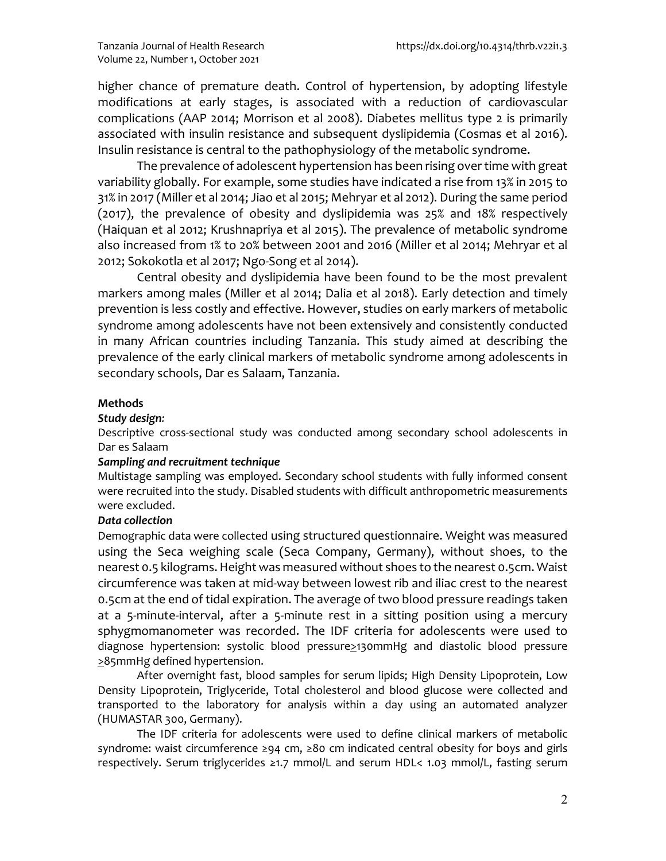higher chance of premature death. Control of hypertension, by adopting lifestyle modifications at early stages, is associated with a reduction of cardiovascular complications (AAP 2014; Morrison et al 2008). Diabetes mellitus type 2 is primarily associated with insulin resistance and subsequent dyslipidemia (Cosmas et al 2016). Insulin resistance is central to the pathophysiology of the metabolic syndrome.

The prevalence of adolescent hypertension has been rising over time with great variability globally. For example, some studies have indicated a rise from 13% in 2015 to 31% in 2017 (Miller et al 2014; Jiao et al 2015; Mehryar et al 2012). During the same period (2017), the prevalence of obesity and dyslipidemia was 25% and 18% respectively (Haiquan et al 2012; Krushnapriya et al 2015). The prevalence of metabolic syndrome also increased from 1% to 20% between 2001 and 2016 (Miller et al 2014; Mehryar et al 2012; Sokokotla et al 2017; Ngo-Song et al 2014).

Central obesity and dyslipidemia have been found to be the most prevalent markers among males (Miller et al 2014; Dalia et al 2018). Early detection and timely prevention is less costly and effective. However, studies on early markers of metabolic syndrome among adolescents have not been extensively and consistently conducted in many African countries including Tanzania. This study aimed at describing the prevalence of the early clinical markers of metabolic syndrome among adolescents in secondary schools, Dar es Salaam, Tanzania.

## **Methods**

#### *Study design:*

Descriptive cross-sectional study was conducted among secondary school adolescents in Dar es Salaam

#### *Sampling and recruitment technique*

Multistage sampling was employed. Secondary school students with fully informed consent were recruited into the study. Disabled students with difficult anthropometric measurements were excluded.

## *Data collection*

Demographic data were collected using structured questionnaire. Weight was measured using the Seca weighing scale (Seca Company, Germany), without shoes, to the nearest 0.5 kilograms. Height was measured without shoes to the nearest 0.5cm. Waist circumference was taken at mid-way between lowest rib and iliac crest to the nearest 0.5cm at the end of tidal expiration. The average of two blood pressure readings taken at a 5-minute-interval, after a 5-minute rest in a sitting position using a mercury sphygmomanometer was recorded. The IDF criteria for adolescents were used to diagnose hypertension: systolic blood pressure>130mmHg and diastolic blood pressure >85mmHg defined hypertension.

After overnight fast, blood samples for serum lipids; High Density Lipoprotein, Low Density Lipoprotein, Triglyceride, Total cholesterol and blood glucose were collected and transported to the laboratory for analysis within a day using an automated analyzer (HUMASTAR 300, Germany).

The IDF criteria for adolescents were used to define clinical markers of metabolic syndrome: waist circumference ≥94 cm, ≥80 cm indicated central obesity for boys and girls respectively. Serum triglycerides ≥1.7 mmol/L and serum HDL< 1.03 mmol/L, fasting serum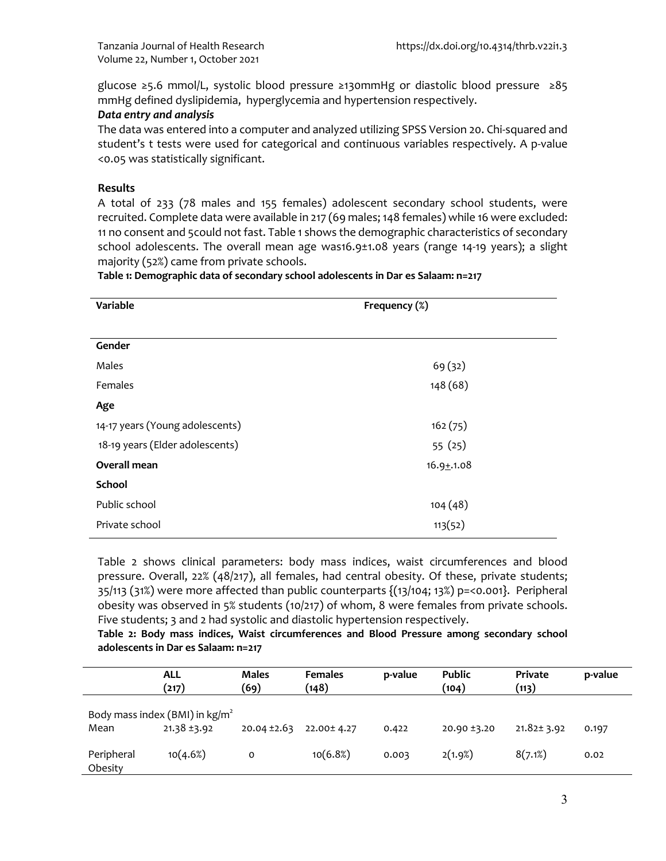glucose ≥5.6 mmol/L, systolic blood pressure ≥130mmHg or diastolic blood pressure ≥85 mmHg defined dyslipidemia, hyperglycemia and hypertension respectively.

#### *Data entry and analysis*

The data was entered into a computer and analyzed utilizing SPSS Version 20. Chi-squared and student's t tests were used for categorical and continuous variables respectively. A p-value <0.05 was statistically significant.

#### **Results**

A total of 233 (78 males and 155 females) adolescent secondary school students, were recruited. Complete data were available in 217 (69 males; 148 females) while 16 were excluded: 11 no consent and 5could not fast. Table 1 shows the demographic characteristics of secondary school adolescents. The overall mean age was16.9±1.08 years (range 14-19 years); a slight majority (52%) came from private schools.

**Table 1: Demographic data of secondary school adolescents in Dar es Salaam: n=217**

| Variable                        | Frequency (%)  |
|---------------------------------|----------------|
|                                 |                |
| Gender                          |                |
| Males                           | 69(32)         |
| Females                         | 148 (68)       |
| Age                             |                |
| 14-17 years (Young adolescents) | 162(75)        |
| 18-19 years (Elder adolescents) | 55(25)         |
| Overall mean                    | $16.9 + .1.08$ |
| School                          |                |
| Public school                   | 104(48)        |
| Private school                  | 113(52)        |

Table 2 shows clinical parameters: body mass indices, waist circumferences and blood pressure. Overall, 22% (48/217), all females, had central obesity. Of these, private students; 35/113 (31%) were more affected than public counterparts {(13/104; 13%) p=<0.001}. Peripheral obesity was observed in 5% students (10/217) of whom, 8 were females from private schools. Five students; 3 and 2 had systolic and diastolic hypertension respectively.

**Table 2: Body mass indices, Waist circumferences and Blood Pressure among secondary school adolescents in Dar es Salaam: n=217**

|                       | <b>ALL</b><br>(217)                                          | <b>Males</b><br>(69) | <b>Females</b><br>(148) | p-value | <b>Public</b><br>(104) | Private<br>(113) | p-value |
|-----------------------|--------------------------------------------------------------|----------------------|-------------------------|---------|------------------------|------------------|---------|
| Mean                  | Body mass index (BMI) in $\text{kg/m}^2$<br>$21.38 \pm 3.92$ | $20.04 \pm 2.63$     | 22.00± 4.27             | 0.422   | 20.90 ±3.20            | $21.82 \pm 3.92$ | 0.197   |
| Peripheral<br>Obesity | 10(4.6%)                                                     | O                    | 10(6.8%)                | 0.003   | 2(1.9%)                | 8(7.1%)          | 0.02    |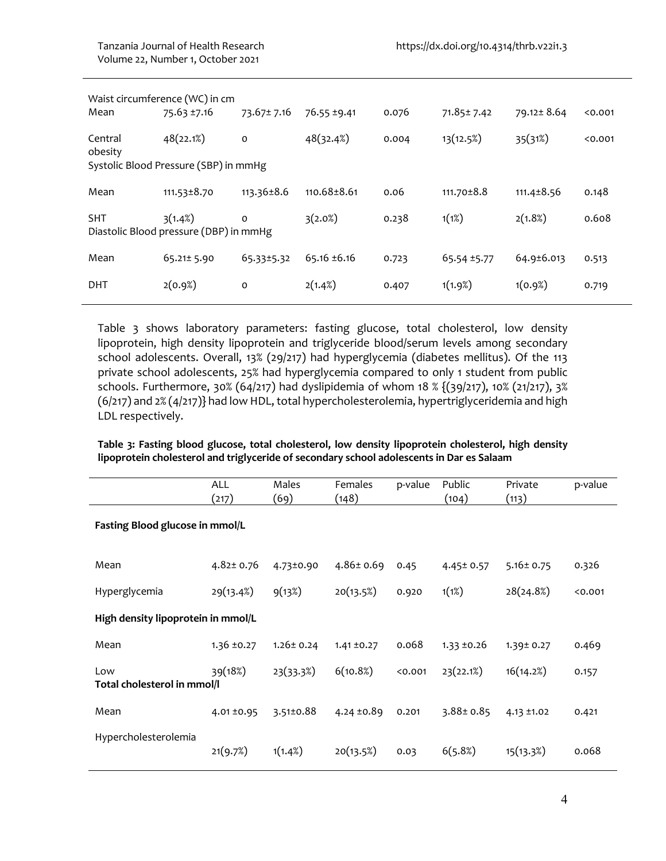| Mean               | Waist circumference (WC) in cm<br>75.63 ±7.16      | 73.67 ± 7.16     | 76.55 ±9.41      | 0.076 | 71.85± 7.42 | 79.12±8.64       | < 0.001 |
|--------------------|----------------------------------------------------|------------------|------------------|-------|-------------|------------------|---------|
| Central<br>obesity | 48(22.1%)<br>Systolic Blood Pressure (SBP) in mmHg | $\mathbf 0$      | 48(32.4%)        | 0.004 | 13(12.5%)   | 35(31%)          | < 0.001 |
| Mean               | $111.53 \pm 8.70$                                  | $113.36 \pm 8.6$ | 110.68±8.61      | 0.06  | 111.70±8.8  | $111.4 \pm 8.56$ | 0.148   |
| <b>SHT</b>         | 3(1.4%)<br>Diastolic Blood pressure (DBP) in mmHg  | $\circ$          | 3(2.0%)          | 0.238 | 1(1%)       | 2(1.8%)          | 0.608   |
| Mean               | 65.21± 5.90                                        | 65.33±5.32       | $65.16 \pm 6.16$ | 0.723 | 65.54 ±5.77 | 64.9±6.013       | 0.513   |
| <b>DHT</b>         | 2(0.9%)                                            | $\mathbf 0$      | 2(1.4%)          | 0.407 | 1(1.9%)     | 1(0.9%)          | 0.719   |
|                    |                                                    |                  |                  |       |             |                  |         |

Table 3 shows laboratory parameters: fasting glucose, total cholesterol, low density lipoprotein, high density lipoprotein and triglyceride blood/serum levels among secondary school adolescents. Overall, 13% (29/217) had hyperglycemia (diabetes mellitus). Of the 113 private school adolescents, 25% had hyperglycemia compared to only 1 student from public schools. Furthermore, 30% (64/217) had dyslipidemia of whom 18 % {(39/217), 10% (21/217), 3% (6/217) and 2% (4/217)} had low HDL, total hypercholesterolemia, hypertriglyceridemia and high LDL respectively.

## **Table 3: Fasting blood glucose, total cholesterol, low density lipoprotein cholesterol, high density lipoprotein cholesterol and triglyceride of secondary school adolescents in Dar es Salaam**

|                                    | <b>ALL</b><br>(217) | Males<br>(69)   | Females<br>(148) | p-value | Public<br>(104) | Private<br>(113) | p-value |  |  |
|------------------------------------|---------------------|-----------------|------------------|---------|-----------------|------------------|---------|--|--|
| Fasting Blood glucose in mmol/L    |                     |                 |                  |         |                 |                  |         |  |  |
| Mean                               | $4.82 \pm 0.76$     | 4.73±0.90       | $4.86 \pm 0.69$  | 0.45    | $4.45 \pm 0.57$ | $5.16 \pm 0.75$  | 0.326   |  |  |
| Hyperglycemia                      | 29(13.4%)           | 9(13%)          | 20(13.5%)        | 0.920   | 1(1%)           | 28(24.8%)        | < 0.001 |  |  |
| High density lipoprotein in mmol/L |                     |                 |                  |         |                 |                  |         |  |  |
| Mean                               | $1.36 \pm 0.27$     | $1.26 \pm 0.24$ | $1.41 \pm 0.27$  | 0.068   | $1.33 \pm 0.26$ | 1.39± 0.27       | 0.469   |  |  |
| Low<br>Total cholesterol in mmol/l | 39(18%)             | 23(33.3%)       | 6(10.8%)         | 0.001   | 23(22.1%)       | 16(14.2%)        | 0.157   |  |  |
| Mean                               | 4.01 ±0.95          | 3.51±0.88       | 4.24 $\pm$ 0.89  | 0.201   | $3.88 \pm 0.85$ | 4.13 ±1.02       | 0.421   |  |  |
| Hypercholesterolemia               | 21(9.7%)            | 1(1.4%)         | 20(13.5%)        | 0.03    | 6(5.8%)         | 15(13.3%)        | 0.068   |  |  |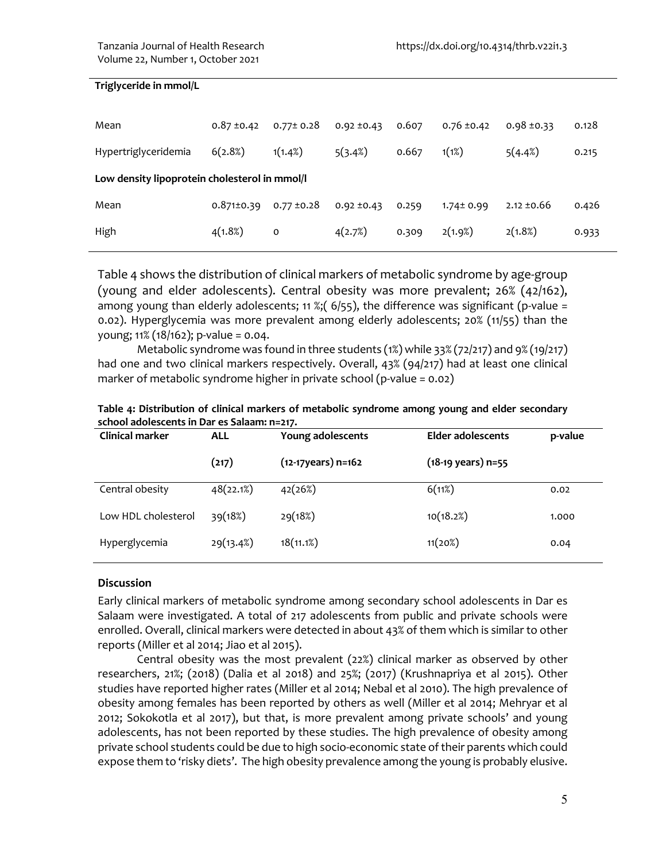## **Triglyceride in mmol/L**

| Mean                                          | $0.87 \pm 0.42$  | $0.77 \pm 0.28$ | $0.92 \pm 0.43$ | 0.607 | $0.76 \pm 0.42$ | $0.98 \pm 0.33$ | 0.128 |  |
|-----------------------------------------------|------------------|-----------------|-----------------|-------|-----------------|-----------------|-------|--|
| Hypertriglyceridemia                          | 6(2.8%)          | 1(1.4%)         | 5(3.4%)         | 0.667 | 1(1%)           | 5(4.4%)         | 0.215 |  |
| Low density lipoprotein cholesterol in mmol/l |                  |                 |                 |       |                 |                 |       |  |
| Mean                                          | $0.871 \pm 0.39$ | $0.77 \pm 0.28$ | $0.92 \pm 0.43$ | 0.259 | $1.74 \pm 0.99$ | $2.12 \pm 0.66$ | 0.426 |  |
| High                                          | 4(1.8%)          | 0               | 4(2.7%)         | 0.309 | 2(1.9%)         | 2(1.8%)         | 0.933 |  |

Table 4 shows the distribution of clinical markers of metabolic syndrome by age-group (young and elder adolescents). Central obesity was more prevalent; 26% (42/162), among young than elderly adolescents; 11 %;  $(6/55)$ , the difference was significant (p-value = 0.02). Hyperglycemia was more prevalent among elderly adolescents; 20% (11/55) than the young; 11% (18/162); p-value = 0.04.

Metabolic syndrome was found in three students (1%) while 33% (72/217) and 9% (19/217) had one and two clinical markers respectively. Overall, 43% (94/217) had at least one clinical marker of metabolic syndrome higher in private school (p-value = 0.02)

| Table 4: Distribution of clinical markers of metabolic syndrome among young and elder secondary |  |
|-------------------------------------------------------------------------------------------------|--|
| school adolescents in Dar es Salaam: n=217.                                                     |  |

| <b>Clinical marker</b> | <b>ALL</b> | Young adolescents      | <b>Elder adolescents</b>     | p-value |
|------------------------|------------|------------------------|------------------------------|---------|
|                        | (217)      | $(12-17)$ years) n=162 | $(18-19 \text{ years})$ n=55 |         |
| Central obesity        | 48(22.1%)  | 42(26%)                | 6(11%)                       | 0.02    |
| Low HDL cholesterol    | 39(18%)    | 29(18%)                | 10(18.2%)                    | 1.000   |
| Hyperglycemia          | 29(13.4%)  | 18(11.1%)              | 11(20%)                      | 0.04    |

#### **Discussion**

Early clinical markers of metabolic syndrome among secondary school adolescents in Dar es Salaam were investigated. A total of 217 adolescents from public and private schools were enrolled. Overall, clinical markers were detected in about 43% of them which is similar to other reports (Miller et al 2014; Jiao et al 2015).

Central obesity was the most prevalent (22%) clinical marker as observed by other researchers, 21%; (2018) (Dalia et al 2018) and 25%; (2017) (Krushnapriya et al 2015). Other studies have reported higher rates (Miller et al 2014; Nebal et al 2010). The high prevalence of obesity among females has been reported by others as well (Miller et al 2014; Mehryar et al 2012; Sokokotla et al 2017), but that, is more prevalent among private schools' and young adolescents, has not been reported by these studies. The high prevalence of obesity among private school students could be due to high socio-economic state of their parents which could expose them to 'risky diets'. The high obesity prevalence among the young is probably elusive.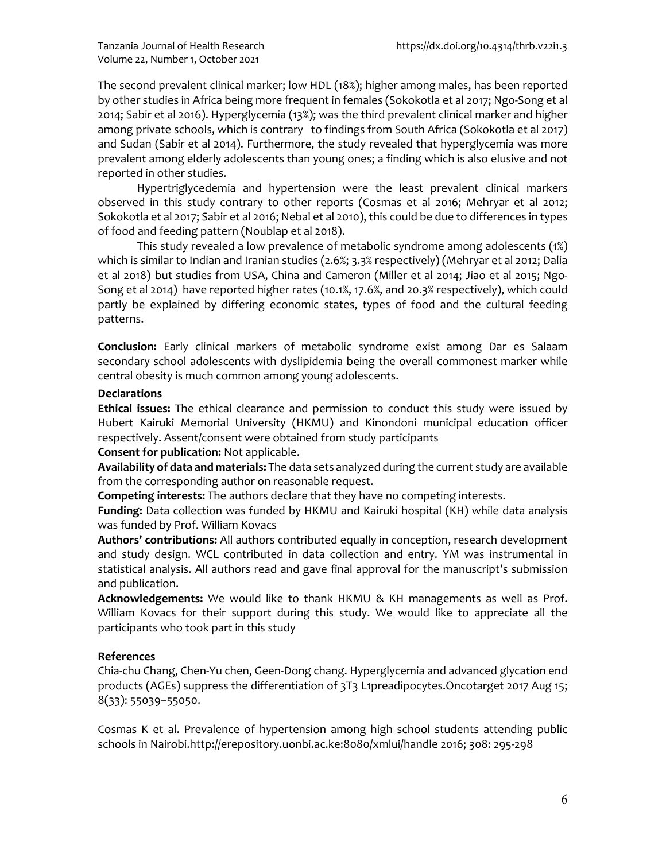The second prevalent clinical marker; low HDL (18%); higher among males, has been reported by other studies in Africa being more frequent in females (Sokokotla et al 2017; Ngo-Song et al 2014; Sabir et al 2016). Hyperglycemia (13%); was the third prevalent clinical marker and higher among private schools, which is contrary to findings from South Africa (Sokokotla et al 2017) and Sudan (Sabir et al 2014). Furthermore, the study revealed that hyperglycemia was more prevalent among elderly adolescents than young ones; a finding which is also elusive and not reported in other studies.

Hypertriglycedemia and hypertension were the least prevalent clinical markers observed in this study contrary to other reports (Cosmas et al 2016; Mehryar et al 2012; Sokokotla et al 2017; Sabir et al 2016; Nebal et al 2010), this could be due to differences in types of food and feeding pattern (Noublap et al 2018).

This study revealed a low prevalence of metabolic syndrome among adolescents (1%) which is similar to Indian and Iranian studies (2.6%; 3.3% respectively) (Mehryar et al 2012; Dalia et al 2018) but studies from USA, China and Cameron (Miller et al 2014; Jiao et al 2015; Ngo-Song et al 2014) have reported higher rates (10.1%, 17.6%, and 20.3% respectively), which could partly be explained by differing economic states, types of food and the cultural feeding patterns.

**Conclusion:** Early clinical markers of metabolic syndrome exist among Dar es Salaam secondary school adolescents with dyslipidemia being the overall commonest marker while central obesity is much common among young adolescents.

# **Declarations**

**Ethical issues:** The ethical clearance and permission to conduct this study were issued by Hubert Kairuki Memorial University (HKMU) and Kinondoni municipal education officer respectively. Assent/consent were obtained from study participants

**Consent for publication:** Not applicable.

**Availability of data and materials:** The data sets analyzed during the current study are available from the corresponding author on reasonable request.

**Competing interests:** The authors declare that they have no competing interests.

**Funding:** Data collection was funded by HKMU and Kairuki hospital (KH) while data analysis was funded by Prof. William Kovacs

**Authors' contributions:** All authors contributed equally in conception, research development and study design. WCL contributed in data collection and entry. YM was instrumental in statistical analysis. All authors read and gave final approval for the manuscript's submission and publication.

**Acknowledgements:** We would like to thank HKMU & KH managements as well as Prof. William Kovacs for their support during this study. We would like to appreciate all the participants who took part in this study

## **References**

Chia-chu Chang, Chen-Yu chen, Geen-Dong chang. Hyperglycemia and advanced glycation end products (AGEs) suppress the differentiation of 3T3 L1preadipocytes.Oncotarget 2017 Aug 15; 8(33): 55039–55050.

Cosmas K et al. Prevalence of hypertension among high school students attending public schools in Nairobi.http://erepository.uonbi.ac.ke:8080/xmlui/handle 2016; 308: 295-298